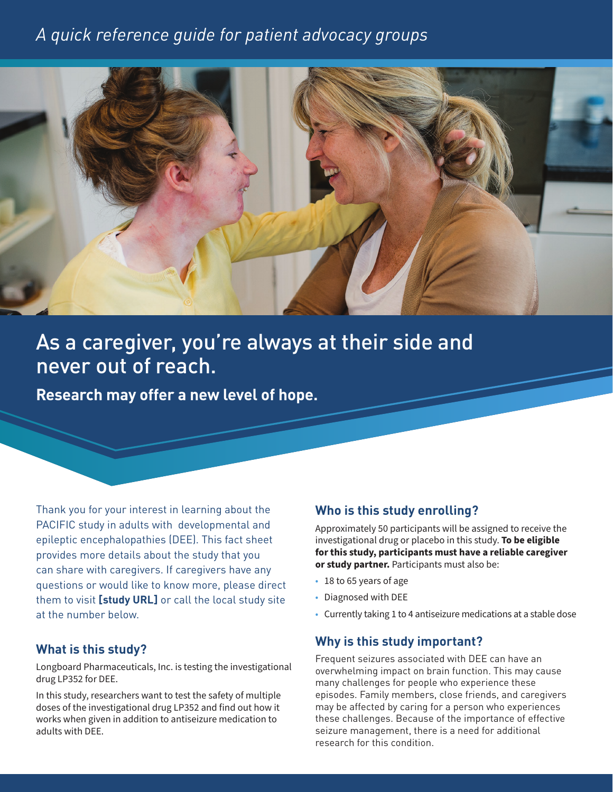## *A quick reference guide for patient advocacy groups*



# As a caregiver, you're always at their side and never out of reach.

**Research may offer a new level of hope.**

Thank you for your interest in learning about the PACIFIC study in adults with developmental and epileptic encephalopathies (DEE). This fact sheet provides more details about the study that you can share with caregivers. If caregivers have any questions or would like to know more, please direct them to visit **[study URL]** or call the local study site at the number below.

#### **What is this study?**

Longboard Pharmaceuticals, Inc. is testing the investigational drug LP352 for DEE.

In this study, researchers want to test the safety of multiple doses of the investigational drug LP352 and find out how it works when given in addition to antiseizure medication to adults with DEE.

#### **Who is this study enrolling?**

Approximately 50 participants will be assigned to receive the investigational drug or placebo in this study. **To be eligible for this study, participants must have a reliable caregiver or study partner.** Participants must also be:

- 18 to 65 years of age
- Diagnosed with DEE
- Currently taking 1 to 4 antiseizure medications at a stable dose

#### **Why is this study important?**

Frequent seizures associated with DEE can have an overwhelming impact on brain function. This may cause many challenges for people who experience these episodes. Family members, close friends, and caregivers may be affected by caring for a person who experiences these challenges. Because of the importance of effective seizure management, there is a need for additional research for this condition.